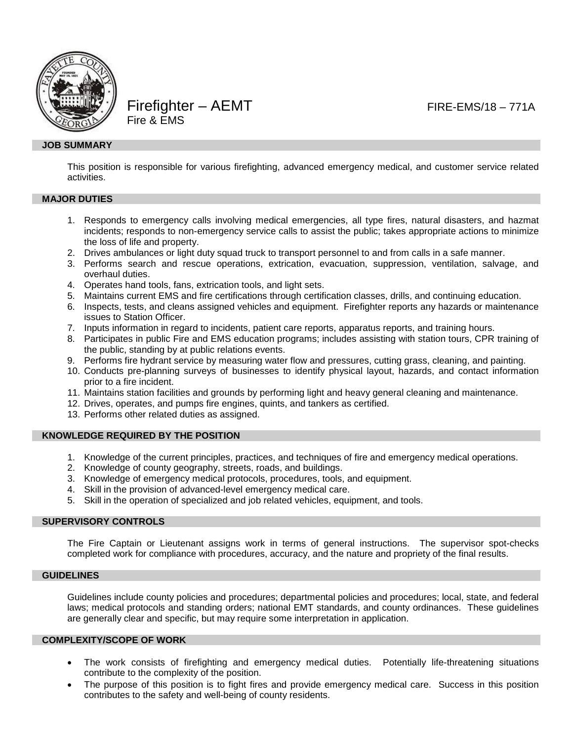

Firefighter – AEMT FIRE-EMS/18 – 771A Fire & EMS

## **JOB SUMMARY**

This position is responsible for various firefighting, advanced emergency medical, and customer service related activities.

# **MAJOR DUTIES**

- 1. Responds to emergency calls involving medical emergencies, all type fires, natural disasters, and hazmat incidents; responds to non-emergency service calls to assist the public; takes appropriate actions to minimize the loss of life and property.
- 2. Drives ambulances or light duty squad truck to transport personnel to and from calls in a safe manner.
- 3. Performs search and rescue operations, extrication, evacuation, suppression, ventilation, salvage, and overhaul duties.
- 4. Operates hand tools, fans, extrication tools, and light sets.
- 5. Maintains current EMS and fire certifications through certification classes, drills, and continuing education.
- 6. Inspects, tests, and cleans assigned vehicles and equipment. Firefighter reports any hazards or maintenance issues to Station Officer.
- 7. Inputs information in regard to incidents, patient care reports, apparatus reports, and training hours.
- 8. Participates in public Fire and EMS education programs; includes assisting with station tours, CPR training of the public, standing by at public relations events.
- 9. Performs fire hydrant service by measuring water flow and pressures, cutting grass, cleaning, and painting.
- 10. Conducts pre-planning surveys of businesses to identify physical layout, hazards, and contact information prior to a fire incident.
- 11. Maintains station facilities and grounds by performing light and heavy general cleaning and maintenance.
- 12. Drives, operates, and pumps fire engines, quints, and tankers as certified.
- 13. Performs other related duties as assigned.

### **KNOWLEDGE REQUIRED BY THE POSITION**

- 1. Knowledge of the current principles, practices, and techniques of fire and emergency medical operations.
- 2. Knowledge of county geography, streets, roads, and buildings.
- 3. Knowledge of emergency medical protocols, procedures, tools, and equipment.
- 4. Skill in the provision of advanced-level emergency medical care.
- 5. Skill in the operation of specialized and job related vehicles, equipment, and tools.

### **SUPERVISORY CONTROLS**

The Fire Captain or Lieutenant assigns work in terms of general instructions. The supervisor spot-checks completed work for compliance with procedures, accuracy, and the nature and propriety of the final results.

### **GUIDELINES**

Guidelines include county policies and procedures; departmental policies and procedures; local, state, and federal laws; medical protocols and standing orders; national EMT standards, and county ordinances. These guidelines are generally clear and specific, but may require some interpretation in application.

### **COMPLEXITY/SCOPE OF WORK**

- The work consists of firefighting and emergency medical duties. Potentially life-threatening situations contribute to the complexity of the position.
- The purpose of this position is to fight fires and provide emergency medical care. Success in this position contributes to the safety and well-being of county residents.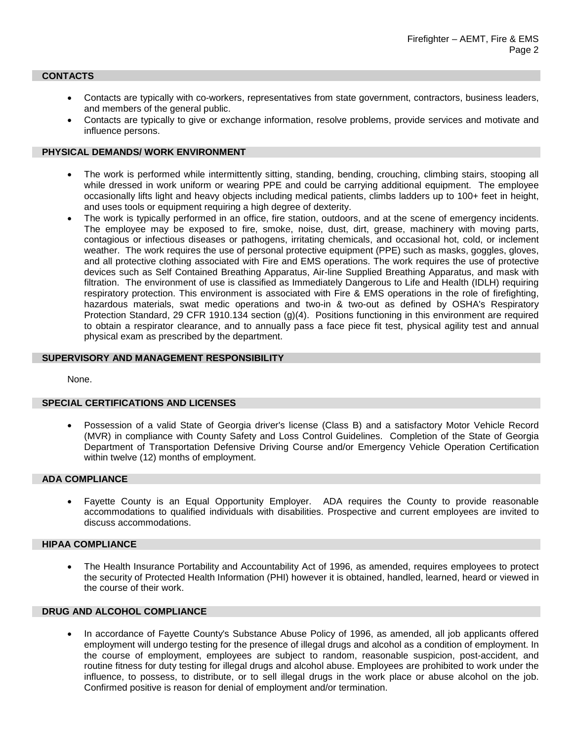### **CONTACTS**

- Contacts are typically with co-workers, representatives from state government, contractors, business leaders, and members of the general public.
- Contacts are typically to give or exchange information, resolve problems, provide services and motivate and influence persons.

# **PHYSICAL DEMANDS/ WORK ENVIRONMENT**

- The work is performed while intermittently sitting, standing, bending, crouching, climbing stairs, stooping all while dressed in work uniform or wearing PPE and could be carrying additional equipment. The employee occasionally lifts light and heavy objects including medical patients, climbs ladders up to 100+ feet in height, and uses tools or equipment requiring a high degree of dexterity.
- The work is typically performed in an office, fire station, outdoors, and at the scene of emergency incidents. The employee may be exposed to fire, smoke, noise, dust, dirt, grease, machinery with moving parts, contagious or infectious diseases or pathogens, irritating chemicals, and occasional hot, cold, or inclement weather. The work requires the use of personal protective equipment (PPE) such as masks, goggles, gloves, and all protective clothing associated with Fire and EMS operations. The work requires the use of protective devices such as Self Contained Breathing Apparatus, Air-line Supplied Breathing Apparatus, and mask with filtration. The environment of use is classified as Immediately Dangerous to Life and Health (IDLH) requiring respiratory protection. This environment is associated with Fire & EMS operations in the role of firefighting, hazardous materials, swat medic operations and two-in & two-out as defined by OSHA's Respiratory Protection Standard, 29 CFR 1910.134 section (g)(4). Positions functioning in this environment are required to obtain a respirator clearance, and to annually pass a face piece fit test, physical agility test and annual physical exam as prescribed by the department.

## **SUPERVISORY AND MANAGEMENT RESPONSIBILITY**

None.

### **SPECIAL CERTIFICATIONS AND LICENSES**

• Possession of a valid State of Georgia driver's license (Class B) and a satisfactory Motor Vehicle Record (MVR) in compliance with County Safety and Loss Control Guidelines. Completion of the State of Georgia Department of Transportation Defensive Driving Course and/or Emergency Vehicle Operation Certification within twelve (12) months of employment.

# **ADA COMPLIANCE**

• Fayette County is an Equal Opportunity Employer. ADA requires the County to provide reasonable accommodations to qualified individuals with disabilities. Prospective and current employees are invited to discuss accommodations.

### **HIPAA COMPLIANCE**

• The Health Insurance Portability and Accountability Act of 1996, as amended, requires employees to protect the security of Protected Health Information (PHI) however it is obtained, handled, learned, heard or viewed in the course of their work.

# **DRUG AND ALCOHOL COMPLIANCE**

• In accordance of Fayette County's Substance Abuse Policy of 1996, as amended, all job applicants offered employment will undergo testing for the presence of illegal drugs and alcohol as a condition of employment. In the course of employment, employees are subject to random, reasonable suspicion, post-accident, and routine fitness for duty testing for illegal drugs and alcohol abuse. Employees are prohibited to work under the influence, to possess, to distribute, or to sell illegal drugs in the work place or abuse alcohol on the job. Confirmed positive is reason for denial of employment and/or termination.